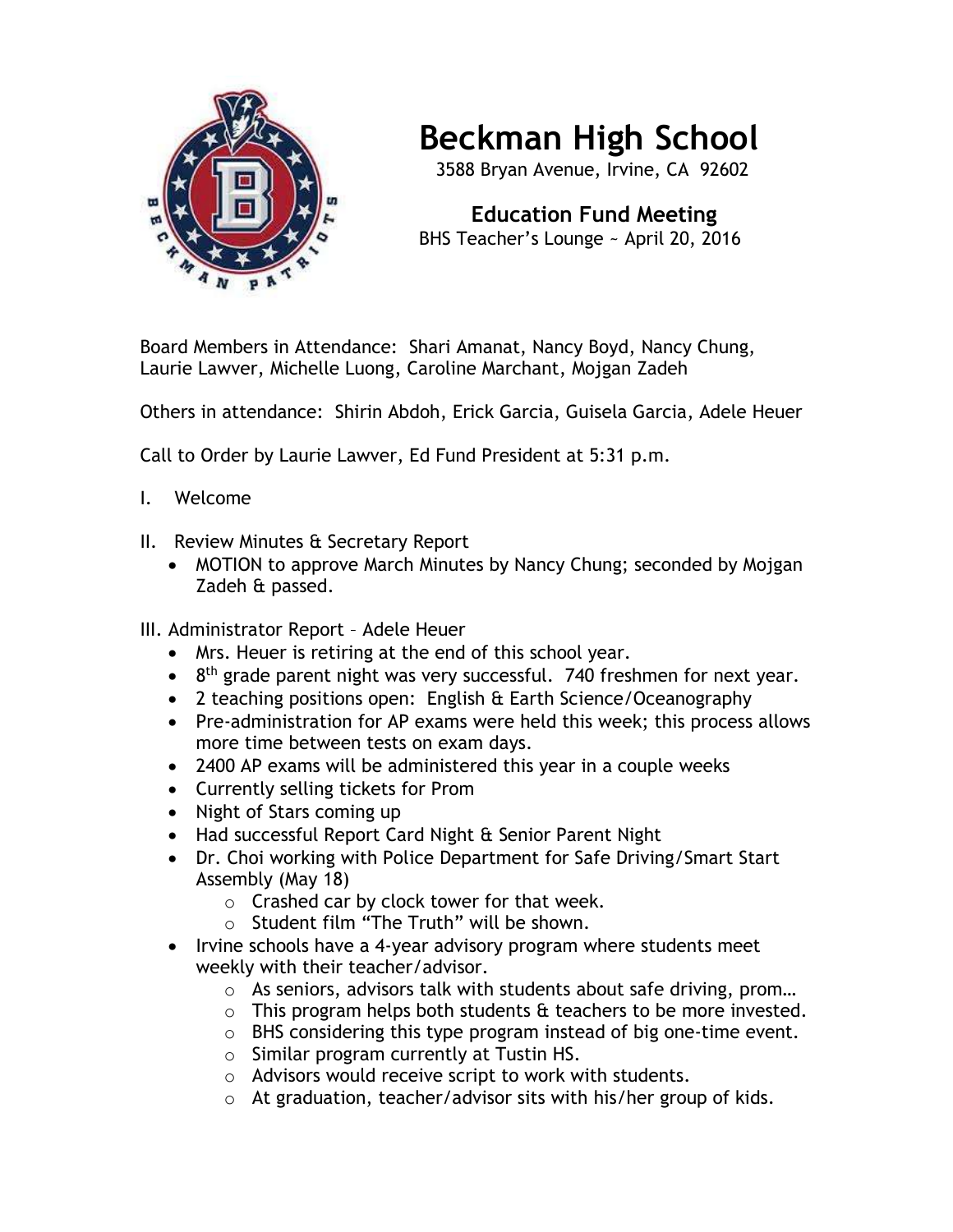

## **Beckman High School**

3588 Bryan Avenue, Irvine, CA 92602

 **Education Fund Meeting** BHS Teacher's Lounge ~ April 20, 2016

Board Members in Attendance: Shari Amanat, Nancy Boyd, Nancy Chung, Laurie Lawver, Michelle Luong, Caroline Marchant, Mojgan Zadeh

Others in attendance: Shirin Abdoh, Erick Garcia, Guisela Garcia, Adele Heuer

Call to Order by Laurie Lawver, Ed Fund President at 5:31 p.m.

- I. Welcome
- II. Review Minutes & Secretary Report
	- MOTION to approve March Minutes by Nancy Chung; seconded by Mojgan Zadeh & passed.
- III. Administrator Report Adele Heuer
	- Mrs. Heuer is retiring at the end of this school year.
	- $\bullet$  8<sup>th</sup> grade parent night was very successful. 740 freshmen for next year.
	- 2 teaching positions open: English & Earth Science/Oceanography
	- Pre-administration for AP exams were held this week; this process allows more time between tests on exam days.
	- 2400 AP exams will be administered this year in a couple weeks
	- Currently selling tickets for Prom
	- Night of Stars coming up
	- Had successful Report Card Night & Senior Parent Night
	- Dr. Choi working with Police Department for Safe Driving/Smart Start Assembly (May 18)
		- $\circ$  Crashed car by clock tower for that week.
		- o Student film "The Truth" will be shown.
	- Irvine schools have a 4-year advisory program where students meet weekly with their teacher/advisor.
		- o As seniors, advisors talk with students about safe driving, prom…
		- $\circ$  This program helps both students & teachers to be more invested.
		- o BHS considering this type program instead of big one-time event.
		- o Similar program currently at Tustin HS.
		- o Advisors would receive script to work with students.
		- o At graduation, teacher/advisor sits with his/her group of kids.